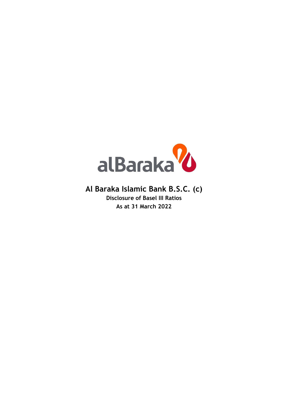

**As at 31 March 2022 Disclosure of Basel III Ratios Al Baraka Islamic Bank B.S.C. (c)**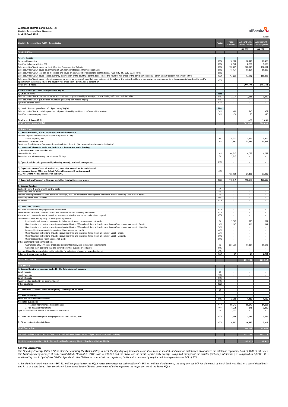## **Al Baraka Islamic Bank B.S.C. (c) Liquidity Coverage Ratio Disclosure As at 31 March 2022**

## alBaraka<sup>7</sup>0

| Liquidity Coverage Ratio (LCR) - Consolidated                                                                                                                                                                                                                                                                                         | Factor        | <b>Total</b><br>Amount   | Amount with<br><b>Factor Applied</b> | BHD'000<br>Amount with<br><b>Factor Applied</b> |
|---------------------------------------------------------------------------------------------------------------------------------------------------------------------------------------------------------------------------------------------------------------------------------------------------------------------------------------|---------------|--------------------------|--------------------------------------|-------------------------------------------------|
| Stock of HQLA                                                                                                                                                                                                                                                                                                                         |               |                          | Q1 2022                              | Q4 2021                                         |
| A. Level 1 assets:                                                                                                                                                                                                                                                                                                                    |               |                          |                                      |                                                 |
| Coins and banknotes                                                                                                                                                                                                                                                                                                                   | 100%          | 10,120                   | 10,120                               | 11,465                                          |
| Qualified balances with the CBB<br>Debt securities/Sukuk issued by the CBB or the Government of Bahrain                                                                                                                                                                                                                               | 100%<br>100%  | 8,568<br>172,779         | 8,568<br>172,779                     | 8,665<br>167,621                                |
| Debt securities/Sukuk issued governments of GCC member states and their central banks;                                                                                                                                                                                                                                                | 100%<br>100%  | 13,141                   | 13,141                               | 18,994                                          |
| Debt securities/Sukuk that can be monetised and issued or guaranteed by sovereigns, central banks, PSEs, IMF, BIS, ECB, EC, or MDBs<br>Debt securities/Sukuk issued in local currency by sovereign or the country's central bank, where the liquidity risk arises or the banks home country - given a non-0 percent Risk-weight (RW); | 100%          | 94,767                   | 94,767                               | $\sim$<br>110,037                               |
| Debt securities/Sukuk issued in foreign currency by sovereign or central bank that does not exceed the value of the net cash outflow in the foreign currency caused by a stress scenario based on the bank's<br>operations in the country where the liquidity risk arises from - given a non-0 percent RW                             | 100%          |                          |                                      |                                                 |
| <b>Total level 1 Assets</b>                                                                                                                                                                                                                                                                                                           |               |                          | 299,374                              | 316,783                                         |
| B. Level 2 assets (maximum of 40 percent Of HQLA)                                                                                                                                                                                                                                                                                     |               |                          |                                      |                                                 |
| 1) Level 2A assets<br>Debt securities/Sukuk that can be issued and liquidated or guaranteed by sovereigns, central banks, PSEs, and qualified MDBs                                                                                                                                                                                    | Fine<br>85%   | 2,771                    | 2,355                                | 3,259                                           |
| Debt securities/Sukuk qualified for liquidation (including commercial paper)                                                                                                                                                                                                                                                          | 85%           | $\cdot$                  |                                      | $\sim$                                          |
| Qualified covered bonds                                                                                                                                                                                                                                                                                                               | 85%           | ä,                       | $\epsilon$                           | ÷.                                              |
| 2) Level 2B assets (maximum of 15 percent of HQLA)<br>Debt securities/Sukuk (including commercial paper) issued by qualified non-financial institutions                                                                                                                                                                               | Fine<br>50%   | 489                      | 245                                  | 402                                             |
| Qualified common equity shares                                                                                                                                                                                                                                                                                                        | 50%           | 150                      | 75                                   | 190                                             |
| Total level 2 Assets (1+2)                                                                                                                                                                                                                                                                                                            |               |                          | 2,675                                | 3,850                                           |
| Total value of stock of HQL                                                                                                                                                                                                                                                                                                           |               |                          | 302,04                               | 320,633                                         |
| <b>Cash Outflows</b>                                                                                                                                                                                                                                                                                                                  |               |                          |                                      |                                                 |
| A1. Retail Mudaraba, Wakala and Reverse Murabaha Deposits<br>Demand deposits and term deposits (maturity within 30 days)                                                                                                                                                                                                              |               |                          |                                      |                                                 |
| Stable deposits; and                                                                                                                                                                                                                                                                                                                  | 3%            | 74,351                   | 2,231                                | 2,844                                           |
| Less stable - retail deposits<br>Retail and Small Business Customers demand and fixed deposits (for overseas branches and subsidiaries)*                                                                                                                                                                                              | 10%<br>$\sim$ | 222,961                  | 22,296                               | 21,819                                          |
| B. Unsecured Wholesale Mudaraba, Wakala and Reverse Murabaha Funding<br>1) Small business customer deposits:                                                                                                                                                                                                                          |               |                          |                                      |                                                 |
| Less stable deposits                                                                                                                                                                                                                                                                                                                  | 10%           | 40,717                   | 4,072                                | 4,079                                           |
| Term deposits with remaining maturity over 30 days                                                                                                                                                                                                                                                                                    | 0%            | 3,717                    |                                      |                                                 |
| 2) Operational deposits generated by clearing, custody, and cash management:                                                                                                                                                                                                                                                          | 25%           | ×                        | $\epsilon$                           | $\sim$                                          |
| 3) Deposits from non-financial institutions, sovereign, central banks, multilateral                                                                                                                                                                                                                                                   |               |                          |                                      |                                                 |
| development banks, PSEs, and Bahrain's Social Insurance Organization and<br>GCC PIFs where PIF is a controller of the bank.                                                                                                                                                                                                           | 40%           | 177,975                  | 71,190                               | 74,169                                          |
| 4) Deposits from Financial Institutions and other legal entity corporations.                                                                                                                                                                                                                                                          | 100%          | 110,549                  | 110,549                              | 105,629                                         |
| C. Secured Funding                                                                                                                                                                                                                                                                                                                    |               |                          |                                      |                                                 |
| Backed by level 1 assets or with central banks<br>Backed by level 2A assets                                                                                                                                                                                                                                                           | 0%<br>15%     | $\overline{\phantom{a}}$ |                                      |                                                 |
| Secured funding transactions with domestic sovereign, PSE's or multilateral development banks that are not baked by level 1 or 2A assets                                                                                                                                                                                              | 25%           | $\overline{\phantom{a}}$ |                                      |                                                 |
|                                                                                                                                                                                                                                                                                                                                       |               |                          |                                      |                                                 |
| Backed by other level 2B assets<br>All others                                                                                                                                                                                                                                                                                         | 50%<br>100%   | ۰<br>٠                   | $\cdot$                              | $\sim$                                          |
|                                                                                                                                                                                                                                                                                                                                       |               |                          |                                      |                                                 |
| D. Other Cash Outflow<br>Net Shari'a-compliant hedging contract cash outflow                                                                                                                                                                                                                                                          | 100%          | $\sim$                   | $\overline{\phantom{a}}$             | $\sim$                                          |
| Asset-backed securities, covered sukuks, and other structured financing instruments                                                                                                                                                                                                                                                   | 100%          | $\sim$                   | $\sim$                               | $\sim$                                          |
| Asset-backed commercial sukuk, securities investment vehicles, and other similar financing tool<br>Committed: credit and liquidity facilities given by bank to:                                                                                                                                                                       | 100%          | $\cdot$                  | $\cdot$                              | $\sim$                                          |
| Retail and small business customers, including credit cards (from amount not used)<br>Non-financial corporates, sovereigns and central banks, PSEs and multilateral development banks (from amount not used) - Credit                                                                                                                 | 5%<br>10%     | 5,507<br>1,163           | 275<br>116                           | 297<br>141                                      |
| Non-financial corporates, sovereigns and central banks, PSEs and multilateral development banks (from amount not used) - Liquidity                                                                                                                                                                                                    | 30%           | $\overline{\phantom{a}}$ | $\epsilon$                           | $\sim$                                          |
| Banks subject to prudential supervision (from amount not used)<br>Other financial institutions (including securities firms and insurance firms) (from amount not used) - Credit                                                                                                                                                       | 40%<br>40%    | ×<br>×                   |                                      | ×                                               |
| Other financial institutions (including securities firms and insurance firms) (from amount not used) - Liquidity<br>Other legal entities (from amount not used)                                                                                                                                                                       | 100%<br>100%  | $\sim$<br>$\mathcal{L}$  | ×,<br>$\Delta$                       | $\sim$<br>×                                     |
| Other Contingent Funding Obligations:                                                                                                                                                                                                                                                                                                 |               |                          |                                      |                                                 |
| Guarantees, LCs, revocable credit and liquidity facilities, non-contractual commitments<br>Customer short positions that are covered by other customers' collateral                                                                                                                                                                   | 5%<br>50%     | 223,467                  | 11,173                               | 11,562                                          |
| Increased liquidity needs related to the potential for valuations changes on posted collateral                                                                                                                                                                                                                                        | 20%<br>100%   | $\sim$                   | $\sim$<br>29                         | $\sim$                                          |
| Other contractual cash outflows                                                                                                                                                                                                                                                                                                       |               | 29                       |                                      | 2,721                                           |
| <b>Total Cash Outflow</b>                                                                                                                                                                                                                                                                                                             |               |                          | 221,932                              | 223,262                                         |
| <b>Cash Inflows</b>                                                                                                                                                                                                                                                                                                                   |               |                          |                                      |                                                 |
| A. Secured lending transactions backed by the following asset category<br>Level 1 assets                                                                                                                                                                                                                                              | 0%            |                          |                                      |                                                 |
| Level 2A assets<br>Level 2B assets                                                                                                                                                                                                                                                                                                    | 15%<br>50%    | $\cdot$                  | $\bar{z}$                            | $\sim$                                          |
| Margin lending backed by all other collateral                                                                                                                                                                                                                                                                                         | 50%           | ä,                       |                                      | $\epsilon$                                      |
| Other collateral                                                                                                                                                                                                                                                                                                                      | 100%          | ×                        | $\epsilon$                           | ×                                               |
| B. Committed facilities - credit and liquidity facilities given to banks                                                                                                                                                                                                                                                              | $0\%$         | $\sim$                   | $\epsilon$                           | $\sim$                                          |
| C. Other inflows by                                                                                                                                                                                                                                                                                                                   |               |                          |                                      |                                                 |
| Retail and small business customer<br>Non-retail customers:                                                                                                                                                                                                                                                                           | 50%           | 2,360                    | 1,180                                | 1,989                                           |
| 1. Financial institutions and central banks<br>2. Non-financial institutions                                                                                                                                                                                                                                                          | 100%<br>50%   | 60,247<br>1,235          | 60,247<br>618                        | 54,526<br>7,359                                 |
| Operational deposits held at other financial institutions                                                                                                                                                                                                                                                                             | 0%            | 3,121                    |                                      |                                                 |
| D. Other net Shari'a-compliant hedging contract cash inflows; and                                                                                                                                                                                                                                                                     | 100%          | 1,496                    | 1,496                                | 1,526                                           |
| E. Other contractual cash inflows                                                                                                                                                                                                                                                                                                     | 100%          | 16,993                   | 16,993                               | 3,649                                           |
| <b>Total Cash Inflows</b>                                                                                                                                                                                                                                                                                                             |               |                          | 80,533                               | 69,048                                          |
| Net cash outflow = total cash outflow - total cash inflow or lowest value (75 percent of total cash outflow                                                                                                                                                                                                                           |               |                          | 141,398                              | 154,214                                         |

## *General Disclosures:*

The Liquidity Coverage Ratio (LCR) is aimed at assessing the Bank's ability to meet the liquidity requirements in the short term (1 month), and must be maintained at/or above the minimum regulatory limit of 100% at all tim

Al Baraka Islamic Bank maintains ~BHD 302 million (post-haircut) as HQLA versus an average net cash-outflow of ~BHD 141 million. Furthermore, the daily average LCR for the month of March 2022 was 228% on a consolidated bas